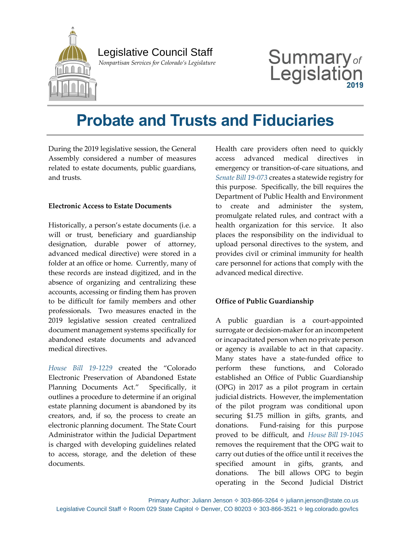

 *Nonpartisan Services for Colorado's Legislature*

# Summary<sub>of</sub> Legislatio

## **Probate and Trusts and Fiduciaries**

During the 2019 legislative session, the General Assembly considered a number of measures related to estate documents, public guardians, and trusts.

#### **Electronic Access to Estate Documents**

Historically, a person's estate documents (i.e. a will or trust, beneficiary and guardianship designation, durable power of attorney, advanced medical directive) were stored in a folder at an office or home. Currently, many of these records are instead digitized, and in the absence of organizing and centralizing these accounts, accessing or finding them has proven to be difficult for family members and other professionals. Two measures enacted in the 2019 legislative session created centralized document management systems specifically for abandoned estate documents and advanced medical directives.

*[House Bill 19-1229](https://leg.colorado.gov/bills/hb19-1229)* created the "Colorado Electronic Preservation of Abandoned Estate Planning Documents Act." Specifically, it outlines a procedure to determine if an original estate planning document is abandoned by its creators, and, if so, the process to create an electronic planning document. The State Court Administrator within the Judicial Department is charged with developing guidelines related to access, storage, and the deletion of these documents.

Health care providers often need to quickly access advanced medical directives emergency or transition-of-care situations, and *[Senate Bill 19-073](https://leg.colorado.gov/bills/sb19-073)* creates a statewide registry for this purpose. Specifically, the bill requires the Department of Public Health and Environment to create and administer the system, promulgate related rules, and contract with a health organization for this service. It also places the responsibility on the individual to upload personal directives to the system, and provides civil or criminal immunity for health care personnel for actions that comply with the advanced medical directive.

#### **Office of Public Guardianship**

A public guardian is a court-appointed surrogate or decision-maker for an incompetent or incapacitated person when no private person or agency is available to act in that capacity. Many states have a state-funded office to perform these functions, and Colorado established an Office of Public Guardianship (OPG) in 2017 as a pilot program in certain judicial districts. However, the implementation of the pilot program was conditional upon securing \$1.75 million in gifts, grants, and donations. Fund-raising for this purpose proved to be difficult, and *House Bill [19-1045](https://leg.colorado.gov/bills/hb19-1045)* removes the requirement that the OPG wait to carry out duties of the office until it receives the specified amount in gifts, grants, and donations. The bill allows OPG to begin operating in the Second Judicial District